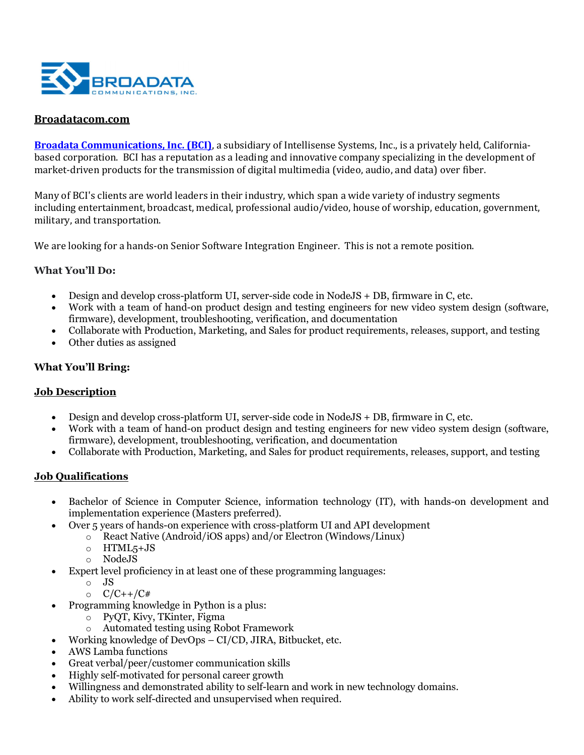

## Broadatacom.com

Broadata Communications, Inc. (BCI), a subsidiary of Intellisense Systems, Inc., is a privately held, Californiabased corporation. BCI has a reputation as a leading and innovative company specializing in the development of market-driven products for the transmission of digital multimedia (video, audio, and data) over fiber.

Many of BCI's clients are world leaders in their industry, which span a wide variety of industry segments including entertainment, broadcast, medical, professional audio/video, house of worship, education, government, military, and transportation.

We are looking for a hands-on Senior Software Integration Engineer. This is not a remote position.

### What You'll Do:

- Design and develop cross-platform UI, server-side code in NodeJS + DB, firmware in C, etc.
- Work with a team of hand-on product design and testing engineers for new video system design (software, firmware), development, troubleshooting, verification, and documentation
- Collaborate with Production, Marketing, and Sales for product requirements, releases, support, and testing
- Other duties as assigned

## What You'll Bring:

#### Job Description

- Design and develop cross-platform UI, server-side code in NodeJS + DB, firmware in C, etc.
- Work with a team of hand-on product design and testing engineers for new video system design (software, firmware), development, troubleshooting, verification, and documentation
- Collaborate with Production, Marketing, and Sales for product requirements, releases, support, and testing

## Job Qualifications

- Bachelor of Science in Computer Science, information technology (IT), with hands-on development and implementation experience (Masters preferred).
- Over 5 years of hands-on experience with cross-platform UI and API development
	- o React Native (Android/iOS apps) and/or Electron (Windows/Linux)
	- o HTML5+JS
	- o NodeJS
- Expert level proficiency in at least one of these programming languages:
	- $\circ$  JS
	- $O$   $C/C++/C#$
- Programming knowledge in Python is a plus:
	- o PyQT, Kivy, TKinter, Figma
	- o Automated testing using Robot Framework
	- Working knowledge of DevOps CI/CD, JIRA, Bitbucket, etc.
- AWS Lamba functions
- Great verbal/peer/customer communication skills
- Highly self-motivated for personal career growth
- Willingness and demonstrated ability to self-learn and work in new technology domains.
- Ability to work self-directed and unsupervised when required.